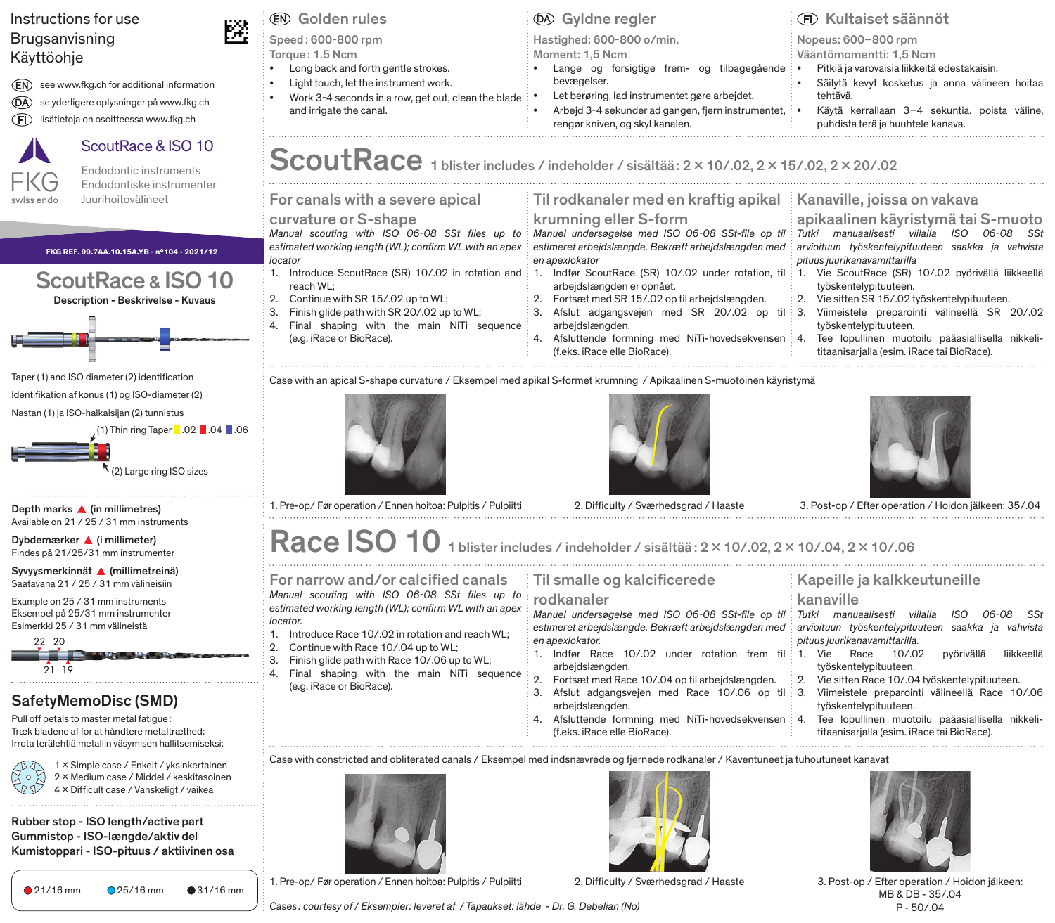## Instructions for use Golden rules Gyldne regler Kultaiset säännöt Brugsanvisning Speed : 600-800 rpm Hastighed: 600-800 o/min. Nopeus: 600–800 rpm Torque : 1.5 Ncm Moment: 1,5 Ncm Vääntömomentti: 1,5 Ncm Käyttöohje Long back and forth gentle strokes. • Lange og forsigtige frem- og tilbagegående • Pitkiä ja varovaisia liikkeitä edestakaisin. bevægelser. see www.fkg.ch for additional information Light touch, let the instrument work. • Säilytä kevyt kosketus ja anna välineen hoitaa Let berøring, lad instrumentet gøre arbejdet. tehtävä. • Work 3-4 seconds in a row, get out, clean the blade **DA** se yderligere oplysninger på www.fkg.ch and irrigate the canal. • Arbejd 3-4 sekunder ad gangen, fjern instrumentet, • Käytä kerrallaan 3–4 sekuntia, poista väline, lisätietoja on osoitteessa www.fkg.ch rengør kniven, og skyl kanalen. puhdista terä ja huuhtele kanava. ScoutRace & ISO 10 ScoutRace 1 blister includes / indeholder / sisältää : 2 x 10/.02, 2 x 15/.02, 2 x 20/.02 Endodontic instruments Endodontiske instrumenter Juurihoitovälineet For canals with a severe apical Til rodkanaler med en kraftig apikal | Kanaville, joissa on vakava curvature or S-shape krumning eller S-form apikaalinen käyristymä tai S-muoto *Manual scouting with ISO 06-08 SSt files up to Tutki manuaalisesti viilalla ISO 06-08 SSt Manuel undersøgelse med ISO 06-08 SSt-file op til estimated working length (WL); confirm WL with an apex estimeret arbejdslængde. Bekræft arbejdslængden med arvioituun työskentelypituuteen saakka ja vahvista*  **FKG REF. 99.7AA.10.15A.YB - n°104 - 2021/12** *locator en apexlokator pituus juurikanavamittarilla* ScoutRace & ISO 10 1. Introduce ScoutRace (SR) 10/02 in rotation and : 1. Indfør ScoutRace (SR) 10/02 under rotation, til : 1. Vie ScoutRace (SR) 10/02 pyörivällä liikkeellä reach WL; arbejdslængden er opnået. työskentelypituuteen. Description - Beskrivelse - Kuvaus 2. Continue with SR 15/.02 up to WL; 2. Fortsæt med SR 15/.02 op til arbejdslængden. 2. Vie sitten SR 15/.02 työskentelypituuteen. 3. Finish glide path with SR 20/.02 up to WL; 3. Afslut adgangsvejen med SR 20/.02 op til 3. Viimeistele preparointi välineellä SR 20/.02 4. Final shaping with the main NiTi sequence arbejdslængden. työskentelypituuteen. (e.g. iRace or BioRace). 4. Afsluttende formning med NiTi-hovedsekvensen : 4. Tee lopullinen muotoilu pääasiallisella nikkeli-(f.eks. iRace elle BioRace). titaanisarjalla (esim. iRace tai BioRace). Taper (1) and ISO diameter (2) identification Case with an apical S-shape curvature / Eksempel med apikal S-formet krumning / Apikaalinen S-muotoinen käyristymä Identifikation af konus (1) og ISO-diameter (2) Nastan (1) ja ISO-halkaisijan (2) tunnistus  $(1)$  Thin ring Taper  $\blacksquare$  .02  $\blacksquare$  .04  $\blacksquare$  .06  $\sqrt{(2)}$  Large ring ISO sizes 1. Pre-op/ Før operation / Ennen hoitoa: Pulpitis / Pulpiitti 2. Difficulty / Sværhedsgrad / Haaste 3. Post-op / Efter operation / Hoidon jälkeen: 35/.04 Depth marks  $\triangle$  (in millimetres) Available on 21 / 25 / 31 mm instruments Race ISO 10 1 blister includes / indeholder / sisältää : 2 × 10/.02, 2 × 10/.04, 2 × 10/.06 Dybdemærker ▲ (i millimeter) Findes på 21/25/31 mm instrumenter Syvyysmerkinnät <a>
(millimetreinä)</a> Til smalle og kalcificerede For narrow and/or calcified canals Kapeille ja kalkkeutuneille Saatavana 21 / 25 / 31 mm välineisiin *Manual scouting with ISO 06-08 SSt files up to*  Example on 25 / 31 mm instruments rodkanaler kanaville *estimated working length (WL); confirm WL with an apex*  Eksempel på 25/31 mm instrumenter *Tutki manuaalisesti viilalla ISO 06-08 SSt Manuel undersøgelse med ISO 06-08 SSt-file op til locator.* Esimerkki 25 / 31 mm välineistä *estimeret arbejdslængde. Bekræft arbejdslængden med arvioituun työskentelypituuteen saakka ja vahvista*  1. Introduce Race 10/.02 in rotation and reach WL;<br>2. Continue with Race 10/.04 up to WL: *en apexlokator. pituus juurikanavamittarilla.* 22 20 2. Continue with Race 10/.04 up to WL; an ing Kabupatèn Ba **STATISTICS** 1. Indfør Race 10/.02 under rotation frem til 1. Vie Race 10/.02 pyörivällä liikkeellä 3. Finish glide path with Race 10/.06 up to WL; työskentelypituuteen.  $2119$ arbejdslængden. 4. Final shaping with the main NiTi sequence 2. Fortsæt med Race 10/.04 op til arbejdslængden. 2. Vie sitten Race 10/.04 työskentelypituuteen.<br>3. Viimeistele preparointi välineellä Race 10 (e.g. iRace or BioRace). 3. Afslut adgangsvejen med Race 10/.06 op til 3. Viimeistele preparointi välineellä Race 10/.06 SafetyMemoDisc (SMD) arbejdslængden. työskentelypituuteen. Pull off petals to master metal fatigue : 4. Afsluttende formning med NiTi-hovedsekvensen | 4. Tee lopullinen muotoilu pääasiallisella nikkeli-Træk bladene af for at håndtere metaltræthed: (f.eks. iRace elle BioRace). titaanisarjalla (esim. iRace tai BioRace). Irrota terälehtiä metallin väsymisen hallitsemiseksi: Case with constricted and obliterated canals / Eksempel med indsnævrede og fjernede rodkanaler / Kaventuneet ja tuhoutuneet kanavat 1 x Simple case / Enkelt / yksinkertainen 2 x Medium case / Middel / keskitasoinen 4 x Difficult case / Vanskeligt / vaikea

Rubber stop - ISO length/active part Gummistop - ISO-længde/aktiv del Kumistoppari - ISO-pituus / aktiivinen osa



*Cases : courtesy of / Eksempler: leveret af / Tapaukset: lähde - Dr. G. Debelian (No)*



21/16 mm ● 25/16 mm ● 31/16 mm │ 1.Pre-op/ Før operation / Ennen hoitoa: Pulpitis / Pulpititi / 2. Difficulty / Sværhedsgrad / Haaste 3. Post-op / Efter operation / Haaste 3. Post-op / Efter operation / Haaste 3. Post-op MB & DB - 35/.04 P - 50/.04